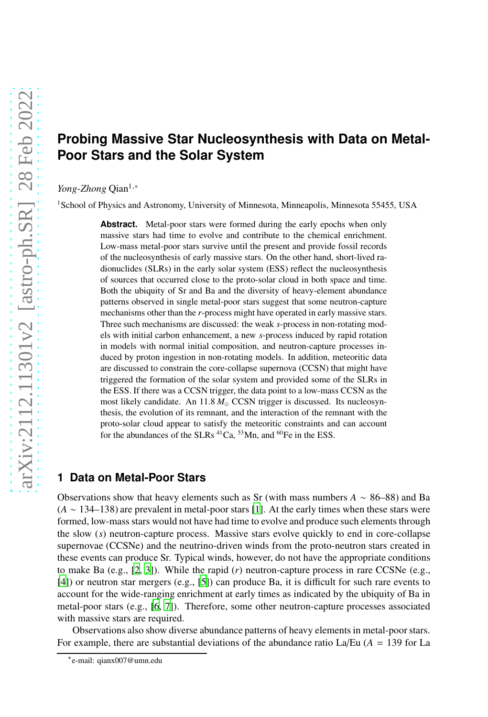# **Probing Massive Star Nucleosynthesis with Data on Metal-Poor Stars and the Solar System**

#### *Yong-Zhong* Qian<sup>1,∗</sup>

<sup>1</sup>School of Physics and Astronomy, University of Minnesota, Minneapolis, Minnesota 55455, USA

**Abstract.** Metal-poor stars were formed during the early epochs when only massive stars had time to evolve and contribute to the chemical enrichment. Low-mass metal-poor stars survive until the present and provide fossil records of the nucleosynthesis of early massive stars. On the other hand, short-lived radionuclides (SLRs) in the early solar system (ESS) reflect the nucleosynthesis of sources that occurred close to the proto-solar cloud in both space and time. Both the ubiquity of Sr and Ba and the diversity of heavy-element abundance patterns observed in single metal-poor stars suggest that some neutron-capture mechanisms other than the *r*-process might have operated in early massive stars. Three such mechanisms are discussed: the weak *s*-process in non-rotating models with initial carbon enhancement, a new *s*-process induced by rapid rotation in models with normal initial composition, and neutron-capture processes induced by proton ingestion in non-rotating models. In addition, meteoritic data are discussed to constrain the core-collapse supernova (CCSN) that might have triggered the formation of the solar system and provided some of the SLRs in the ESS. If there was a CCSN trigger, the data point to a low-mass CCSN as the most likely candidate. An 11.8 *M*<sub>⊙</sub> CCSN trigger is discussed. Its nucleosynthesis, the evolution of its remnant, and the interaction of the remnant with the proto-solar cloud appear to satisfy the meteoritic constraints and can account for the abundances of the SLRs <sup>41</sup>Ca, <sup>53</sup>Mn, and <sup>60</sup>Fe in the ESS.

## <span id="page-0-0"></span>**1 Data on Metal-Poor Stars**

Observations show that heavy elements such as Sr (with mass numbers *A* ∼ 86–88) and Ba (*A* ∼ 134–138) are prevalent in metal-poor stars [\[1\]](#page-4-0). At the early times when these stars were formed, low-mass stars would not have had time to evolve and produce such elements through the slow (*s*) neutron-capture process. Massive stars evolve quickly to end in core-collapse supernovae (CCSNe) and the neutrino-driven winds from the proto-neutron stars created in these events can produce Sr. Typical winds, however, do not have the appropriate conditions to make Ba (e.g., [\[2](#page-4-1), [3\]](#page-5-0)). While the rapid (*r*) neutron-capture process in rare CCSNe (e.g., [\[4](#page-5-1)]) or neutron star mergers (e.g., [\[5\]](#page-5-2)) can produce Ba, it is difficult for such rare events to account for the wide-ranging enrichment at early times as indicated by the ubiquity of Ba in metal-poor stars (e.g., [\[6](#page-5-3), [7](#page-5-4)]). Therefore, some other neutron-capture processes associated with massive stars are required.

Observations also show diverse abundance patterns of heavy elements in metal-poor stars. For example, there are substantial deviations of the abundance ratio La/Eu  $(A = 139$  for La

<sup>∗</sup> e-mail: qianx007@umn.edu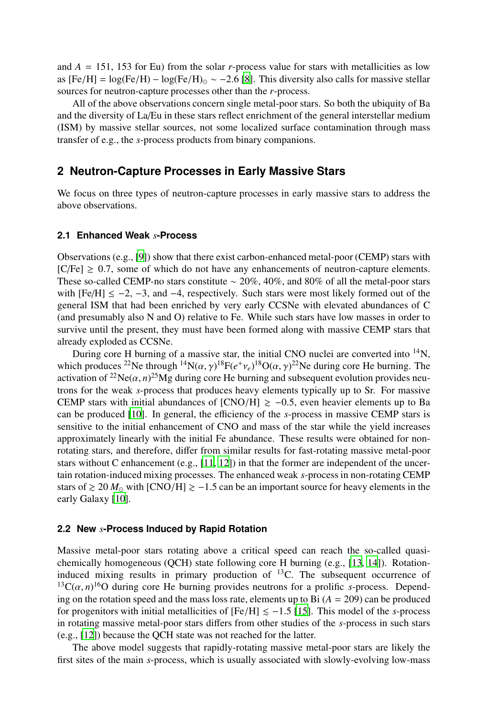and  $A = 151$ , 153 for Eu) from the solar *r*-process value for stars with metallicities as low as  $[Fe/H] = \log(Fe/H) - \log(Fe/H)_{\odot} \sim -2.6$  [\[8\]](#page-5-5). This diversity also calls for massive stellar sources for neutron-capture processes other than the *r*-process.

All of the above observations concern single metal-poor stars. So both the ubiquity of Ba and the diversity of La/Eu in these stars reflect enrichment of the general interstellar medium (ISM) by massive stellar sources, not some localized surface contamination through mass transfer of e.g., the *s*-process products from binary companions.

## **2 Neutron-Capture Processes in Early Massive Stars**

We focus on three types of neutron-capture processes in early massive stars to address the above observations.

#### **2.1 Enhanced Weak** *s***-Process**

Observations (e.g., [\[9](#page-5-6)]) show that there exist carbon-enhanced metal-poor (CEMP) stars with  $[C/Fe] \geq 0.7$ , some of which do not have any enhancements of neutron-capture elements. These so-called CEMP-no stars constitute ∼ 20%, 40%, and 80% of all the metal-poor stars with  $[Fe/H] \le -2$ ,  $-3$ , and  $-4$ , respectively. Such stars were most likely formed out of the general ISM that had been enriched by very early CCSNe with elevated abundances of C (and presumably also N and O) relative to Fe. While such stars have low masses in order to survive until the present, they must have been formed along with massive CEMP stars that already exploded as CCSNe.

During core H burning of a massive star, the initial CNO nuclei are converted into <sup>14</sup>N, which produces <sup>22</sup>Ne through <sup>14</sup>N( $\alpha$ ,  $\gamma$ )<sup>18</sup>F( $e^+v_e$ )<sup>18</sup>O( $\alpha$ ,  $\gamma$ )<sup>22</sup>Ne during core He burning. The activation of <sup>22</sup>Ne( $\alpha$ , *n*)<sup>25</sup>Mg during core He burning and subsequent evolution provides neutrons for the weak *s*-process that produces heavy elements typically up to Sr. For massive CEMP stars with initial abundances of [CNO/H]  $\ge -0.5$ , even heavier elements up to Ba can be produced [\[10\]](#page-5-7). In general, the efficiency of the *s*-process in massive CEMP stars is sensitive to the initial enhancement of CNO and mass of the star while the yield increases approximately linearly with the initial Fe abundance. These results were obtained for nonrotating stars, and therefore, differ from similar results for fast-rotating massive metal-poor stars without C enhancement (e.g.,  $[11, 12]$  $[11, 12]$  $[11, 12]$ ) in that the former are independent of the uncertain rotation-induced mixing processes. The enhanced weak *s*-process in non-rotating CEMP stars of  $\geq 20 M_{\odot}$  with [CNO/H]  $\geq -1.5$  can be an important source for heavy elements in the early Galaxy [\[10\]](#page-5-7).

#### **2.2 New** *s***-Process Induced by Rapid Rotation**

Massive metal-poor stars rotating above a critical speed can reach the so-called quasichemically homogeneous (QCH) state following core H burning (e.g., [\[13,](#page-5-10) [14](#page-5-11)]). Rotationinduced mixing results in primary production of  $^{13}$ C. The subsequent occurrence of <sup>13</sup>C( $\alpha$ ,  $n$ )<sup>16</sup>O during core He burning provides neutrons for a prolific *s*-process. Depending on the rotation speed and the mass loss rate, elements up to Bi  $(A = 209)$  can be produced for progenitors with initial metallicities of  $[Fe/H] \le -1.5$  [\[15\]](#page-5-12). This model of the *s*-process in rotating massive metal-poor stars differs from other studies of the *s*-process in such stars (e.g., [\[12\]](#page-5-9)) because the QCH state was not reached for the latter.

The above model suggests that rapidly-rotating massive metal-poor stars are likely the first sites of the main *s*-process, which is usually associated with slowly-evolving low-mass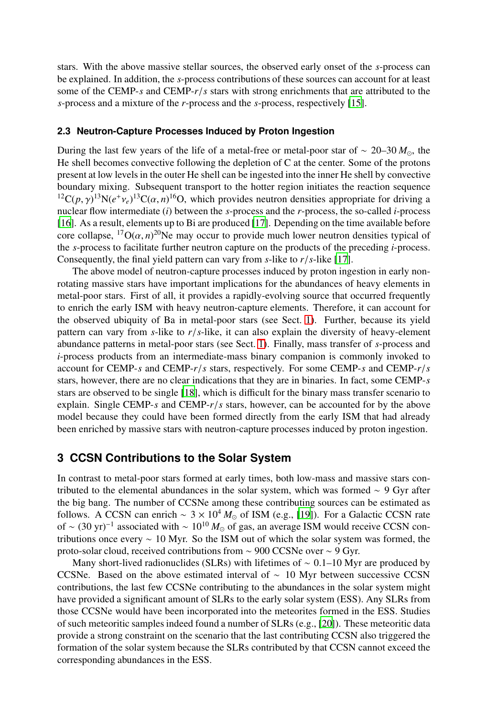stars. With the above massive stellar sources, the observed early onset of the *s*-process can be explained. In addition, the *s*-process contributions of these sources can account for at least some of the CEMP-*s* and CEMP-*r*/*s* stars with strong enrichments that are attributed to the *s*-process and a mixture of the *r*-process and the *s*-process, respectively [\[15\]](#page-5-12).

#### **2.3 Neutron-Capture Processes Induced by Proton Ingestion**

During the last few years of the life of a metal-free or metal-poor star of ∼ 20–30 *M*⊙, the He shell becomes convective following the depletion of C at the center. Some of the protons present at low levels in the outer He shell can be ingested into the inner He shell by convective boundary mixing. Subsequent transport to the hotter region initiates the reaction sequence <sup>12</sup>C(*p*,  $\gamma$ )<sup>13</sup>N(*e*<sup>+</sup> $\nu$ <sub>*e*</sub>)<sup>13</sup>C( $\alpha$ , *n*)<sup>16</sup>O, which provides neutron densities appropriate for driving a nuclear flow intermediate (*i*) between the *s*-process and the *r*-process, the so-called *i*-process [\[16\]](#page-5-13). As a result, elements up to Bi are produced [\[17\]](#page-5-14). Depending on the time available before core collapse,  ${}^{17}O(\alpha, n)^{20}$ Ne may occur to provide much lower neutron densities typical of the *s*-process to facilitate further neutron capture on the products of the preceding *i*-process. Consequently, the final yield pattern can vary from *s*-like to  $r/s$ -like [\[17\]](#page-5-14).

The above model of neutron-capture processes induced by proton ingestion in early nonrotating massive stars have important implications for the abundances of heavy elements in metal-poor stars. First of all, it provides a rapidly-evolving source that occurred frequently to enrich the early ISM with heavy neutron-capture elements. Therefore, it can account for the observed ubiquity of Ba in metal-poor stars (see Sect. [1\)](#page-0-0). Further, because its yield pattern can vary from *s*-like to *r*/*s*-like, it can also explain the diversity of heavy-element abundance patterns in metal-poor stars (see Sect. [1\)](#page-0-0). Finally, mass transfer of *s*-process and *i*-process products from an intermediate-mass binary companion is commonly invoked to account for CEMP-*s* and CEMP-*r*/*s* stars, respectively. For some CEMP-*s* and CEMP-*r*/*s* stars, however, there are no clear indications that they are in binaries. In fact, some CEMP-*s* stars are observed to be single [\[18](#page-5-15)], which is difficult for the binary mass transfer scenario to explain. Single CEMP-*s* and CEMP-*r*/*s* stars, however, can be accounted for by the above model because they could have been formed directly from the early ISM that had already been enriched by massive stars with neutron-capture processes induced by proton ingestion.

## **3 CCSN Contributions to the Solar System**

In contrast to metal-poor stars formed at early times, both low-mass and massive stars contributed to the elemental abundances in the solar system, which was formed  $\sim$  9 Gyr after the big bang. The number of CCSNe among these contributing sources can be estimated as follows. A CCSN can enrich ~  $3 \times 10^4 M_{\odot}$  of ISM (e.g., [\[19\]](#page-5-16)). For a Galactic CCSN rate of ~  $(30 \text{ yr})^{-1}$  associated with ~  $10^{10} M_{\odot}$  of gas, an average ISM would receive CCSN contributions once every  $\sim 10$  Myr. So the ISM out of which the solar system was formed, the proto-solar cloud, received contributions from ∼ 900 CCSNe over ∼ 9 Gyr.

Many short-lived radionuclides (SLRs) with lifetimes of  $\sim 0.1-10$  Myr are produced by CCSNe. Based on the above estimated interval of ∼ 10 Myr between successive CCSN contributions, the last few CCSNe contributing to the abundances in the solar system might have provided a significant amount of SLRs to the early solar system (ESS). Any SLRs from those CCSNe would have been incorporated into the meteorites formed in the ESS. Studies of such meteoritic samples indeed found a number of SLRs (e.g., [\[20\]](#page-5-17)). These meteoritic data provide a strong constraint on the scenario that the last contributing CCSN also triggered the formation of the solar system because the SLRs contributed by that CCSN cannot exceed the corresponding abundances in the ESS.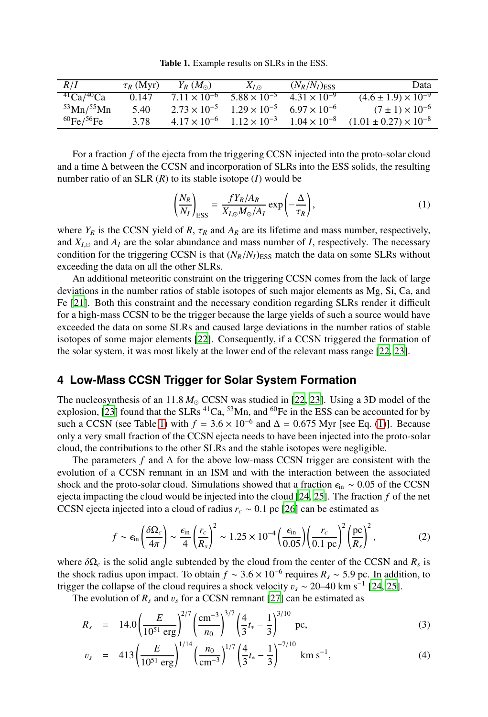<span id="page-3-0"></span>Table 1. Example results on SLRs in the ESS.

| R/I                        | $\tau_R$ (Myr) | $Y_R(M_{\odot})$      | $X_{I\, \odot}$       | $(N_R/N_I)_{\text{ESS}}$ | Data                                      |
|----------------------------|----------------|-----------------------|-----------------------|--------------------------|-------------------------------------------|
| $^{41}Ca/^{40}Ca$          | 0.147          | $7.11 \times 10^{-6}$ | $5.88 \times 10^{-5}$ | $4.31 \times 10^{-9}$    | $(4.6 \pm 1.9) \times \overline{10^{-9}}$ |
| $53$ Mn/ $55$ Mn           | 5.40           | $2.73 \times 10^{-5}$ | $1.29 \times 10^{-5}$ | $6.97 \times 10^{-6}$    | $(7 \pm 1) \times 10^{-6}$                |
| ${}^{60}$ Fe/ ${}^{56}$ Fe | 3.78           | $4.17 \times 10^{-6}$ | $1.12 \times 10^{-3}$ | $1.04 \times 10^{-8}$    | $(1.01 \pm 0.27) \times 10^{-8}$          |

For a fraction *f* of the ejecta from the triggering CCSN injected into the proto-solar cloud and a time ∆ between the CCSN and incorporation of SLRs into the ESS solids, the resulting number ratio of an SLR (*R*) to its stable isotope (*I*) would be

<span id="page-3-1"></span>
$$
\left(\frac{N_R}{N_I}\right)_{\text{ESS}} = \frac{fY_R/A_R}{X_{I,\odot}M_{\odot}/A_I} \exp\left(-\frac{\Delta}{\tau_R}\right),\tag{1}
$$

where  $Y_R$  is the CCSN yield of  $R$ ,  $\tau_R$  and  $A_R$  are its lifetime and mass number, respectively, and  $X_{I,\odot}$  and  $A_I$  are the solar abundance and mass number of *I*, respectively. The necessary condition for the triggering CCSN is that  $(N_R/N_I)_{\text{ESS}}$  match the data on some SLRs without exceeding the data on all the other SLRs.

An additional meteoritic constraint on the triggering CCSN comes from the lack of large deviations in the number ratios of stable isotopes of such major elements as Mg, Si, Ca, and Fe [\[21](#page-5-18)]. Both this constraint and the necessary condition regarding SLRs render it difficult for a high-mass CCSN to be the trigger because the large yields of such a source would have exceeded the data on some SLRs and caused large deviations in the number ratios of stable isotopes of some major elements [\[22](#page-5-19)]. Consequently, if a CCSN triggered the formation of the solar system, it was most likely at the lower end of the relevant mass range [\[22,](#page-5-19) [23\]](#page-5-20).

## **4 Low-Mass CCSN Trigger for Solar System Formation**

The nucleosynthesis of an 11.8  $M_{\odot}$  CCSN was studied in [\[22](#page-5-19), [23\]](#page-5-20). Using a 3D model of the explosion, [\[23\]](#page-5-20) found that the SLRs <sup>41</sup>Ca, <sup>53</sup>Mn, and <sup>60</sup>Fe in the ESS can be accounted for by such a CCSN (see Table [1\)](#page-3-0) with  $f = 3.6 \times 10^{-6}$  and  $\Delta = 0.675$  Myr [see Eq. [\(1\)](#page-3-1)]. Because only a very small fraction of the CCSN ejecta needs to have been injected into the proto-solar cloud, the contributions to the other SLRs and the stable isotopes were negligible.

The parameters *f* and ∆ for the above low-mass CCSN trigger are consistent with the evolution of a CCSN remnant in an ISM and with the interaction between the associated shock and the proto-solar cloud. Simulations showed that a fraction  $\epsilon_{\text{in}} \sim 0.05$  of the CCSN ejecta impacting the cloud would be injected into the cloud [\[24,](#page-5-21) [25](#page-5-22)]. The fraction *f* of the net CCSN ejecta injected into a cloud of radius  $r_c \sim 0.1$  pc [\[26\]](#page-5-23) can be estimated as

$$
f \sim \epsilon_{\rm in} \left(\frac{\delta \Omega_c}{4\pi}\right) \sim \frac{\epsilon_{\rm in}}{4} \left(\frac{r_c}{R_s}\right)^2 \sim 1.25 \times 10^{-4} \left(\frac{\epsilon_{\rm in}}{0.05}\right) \left(\frac{r_c}{0.1 \text{ pc}}\right)^2 \left(\frac{\text{pc}}{R_s}\right)^2,\tag{2}
$$

where  $\delta\Omega_c$  is the solid angle subtended by the cloud from the center of the CCSN and  $R_s$  is the shock radius upon impact. To obtain  $f \sim 3.6 \times 10^{-6}$  requires  $R_s \sim 5.9$  pc. In addition, to trigger the collapse of the cloud requires a shock velocity  $v_s \sim 20-40 \text{ km s}^{-1}$  [\[24,](#page-5-21) [25](#page-5-22)].

The evolution of  $R_s$  and  $v_s$  for a CCSN remnant [\[27](#page-5-24)] can be estimated as

$$
R_s = 14.0 \left(\frac{E}{10^{51} \text{ erg}}\right)^{2/7} \left(\frac{\text{cm}^{-3}}{n_0}\right)^{3/7} \left(\frac{4}{3}t_* - \frac{1}{3}\right)^{3/10} \text{pc},\tag{3}
$$

$$
v_s = 413 \left(\frac{E}{10^{51} \text{ erg}}\right)^{1/14} \left(\frac{n_0}{\text{cm}^{-3}}\right)^{1/7} \left(\frac{4}{3}t_* - \frac{1}{3}\right)^{-7/10} \text{ km s}^{-1},\tag{4}
$$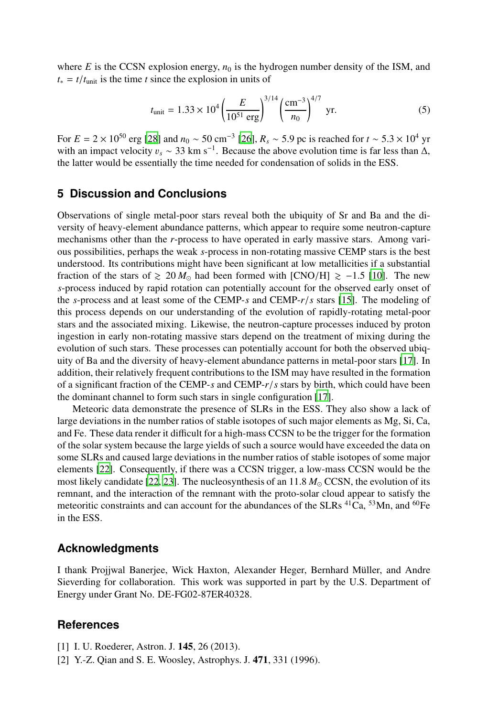where  $E$  is the CCSN explosion energy,  $n_0$  is the hydrogen number density of the ISM, and  $t_* = t/t_{unit}$  is the time *t* since the explosion in units of

$$
t_{\text{unit}} = 1.33 \times 10^4 \left(\frac{E}{10^{51} \text{ erg}}\right)^{3/14} \left(\frac{\text{cm}^{-3}}{n_0}\right)^{4/7} \text{ yr.}
$$
 (5)

For  $E = 2 \times 10^{50}$  erg [\[28\]](#page-5-25) and  $n_0 \sim 50$  cm<sup>-3</sup> [\[26\]](#page-5-23),  $R_s \sim 5.9$  pc is reached for  $t \sim 5.3 \times 10^4$  yr with an impact velocity  $v_s \sim 33 \text{ km s}^{-1}$ . Because the above evolution time is far less than  $\Delta$ , the latter would be essentially the time needed for condensation of solids in the ESS.

## **5 Discussion and Conclusions**

Observations of single metal-poor stars reveal both the ubiquity of Sr and Ba and the diversity of heavy-element abundance patterns, which appear to require some neutron-capture mechanisms other than the *r*-process to have operated in early massive stars. Among various possibilities, perhaps the weak *s*-process in non-rotating massive CEMP stars is the best understood. Its contributions might have been significant at low metallicities if a substantial fraction of the stars of  $\geq 20 M_{\odot}$  had been formed with [CNO/H]  $\geq -1.5$  [\[10\]](#page-5-7). The new *s*-process induced by rapid rotation can potentially account for the observed early onset of the *s*-process and at least some of the CEMP-*s* and CEMP-*r*/*s* stars [\[15\]](#page-5-12). The modeling of this process depends on our understanding of the evolution of rapidly-rotating metal-poor stars and the associated mixing. Likewise, the neutron-capture processes induced by proton ingestion in early non-rotating massive stars depend on the treatment of mixing during the evolution of such stars. These processes can potentially account for both the observed ubiquity of Ba and the diversity of heavy-element abundance patterns in metal-poor stars [\[17](#page-5-14)]. In addition, their relatively frequent contributions to the ISM may have resulted in the formation of a significant fraction of the CEMP-*s* and CEMP-*r*/*s* stars by birth, which could have been the dominant channel to form such stars in single configuration [\[17\]](#page-5-14).

Meteoric data demonstrate the presence of SLRs in the ESS. They also show a lack of large deviations in the number ratios of stable isotopes of such major elements as Mg, Si, Ca, and Fe. These data render it difficult for a high-mass CCSN to be the trigger for the formation of the solar system because the large yields of such a source would have exceeded the data on some SLRs and caused large deviations in the number ratios of stable isotopes of some major elements [\[22](#page-5-19)]. Consequently, if there was a CCSN trigger, a low-mass CCSN would be the most likely candidate [\[22,](#page-5-19) [23\]](#page-5-20). The nucleosynthesis of an 11.8  $M_{\odot}$  CCSN, the evolution of its remnant, and the interaction of the remnant with the proto-solar cloud appear to satisfy the meteoritic constraints and can account for the abundances of the SLRs  $^{41}Ca$ ,  $^{53}Mn$ , and  $^{60}Fe$ in the ESS.

## **Acknowledgments**

I thank Projjwal Banerjee, Wick Haxton, Alexander Heger, Bernhard Müller, and Andre Sieverding for collaboration. This work was supported in part by the U.S. Department of Energy under Grant No. DE-FG02-87ER40328.

## **References**

- <span id="page-4-0"></span>[1] I. U. Roederer, Astron. J. 145, 26 (2013).
- <span id="page-4-1"></span>[2] Y.-Z. Qian and S. E. Woosley, Astrophys. J. 471, 331 (1996).